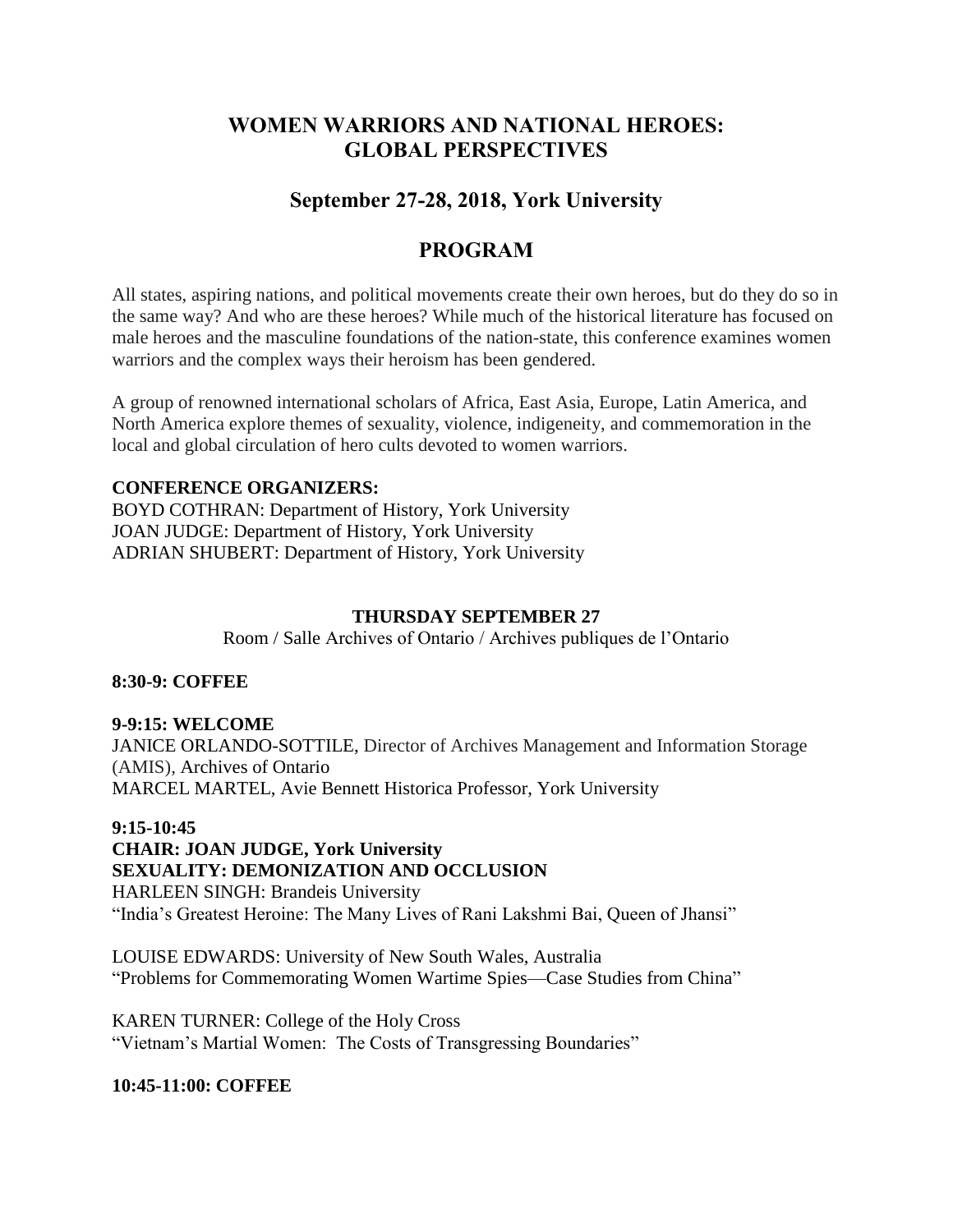# **WOMEN WARRIORS AND NATIONAL HEROES: GLOBAL PERSPECTIVES**

# **September 27-28, 2018, York University**

# **PROGRAM**

All states, aspiring nations, and political movements create their own heroes, but do they do so in the same way? And who are these heroes? While much of the historical literature has focused on male heroes and the masculine foundations of the nation-state, this conference examines women warriors and the complex ways their heroism has been gendered.

A group of renowned international scholars of Africa, East Asia, Europe, Latin America, and North America explore themes of sexuality, violence, indigeneity, and commemoration in the local and global circulation of hero cults devoted to women warriors.

### **CONFERENCE ORGANIZERS:**

BOYD COTHRAN: Department of History, York University JOAN JUDGE: Department of History, York University ADRIAN SHUBERT: Department of History, York University

### **THURSDAY SEPTEMBER 27**

Room / Salle Archives of Ontario / Archives publiques de l'Ontario

### **8:30-9: COFFEE**

## **9-9:15: WELCOME**

JANICE ORLANDO-SOTTILE, Director of Archives Management and Information Storage (AMIS), Archives of Ontario MARCEL MARTEL, Avie Bennett Historica Professor, York University

### **9:15-10:45**

**CHAIR: JOAN JUDGE, York University SEXUALITY: DEMONIZATION AND OCCLUSION** HARLEEN SINGH: Brandeis University "India's Greatest Heroine: The Many Lives of Rani Lakshmi Bai, Queen of Jhansi"

LOUISE EDWARDS: University of New South Wales, Australia "Problems for Commemorating Women Wartime Spies—Case Studies from China"

KAREN TURNER: College of the Holy Cross "Vietnam's Martial Women: The Costs of Transgressing Boundaries"

### **10:45-11:00: COFFEE**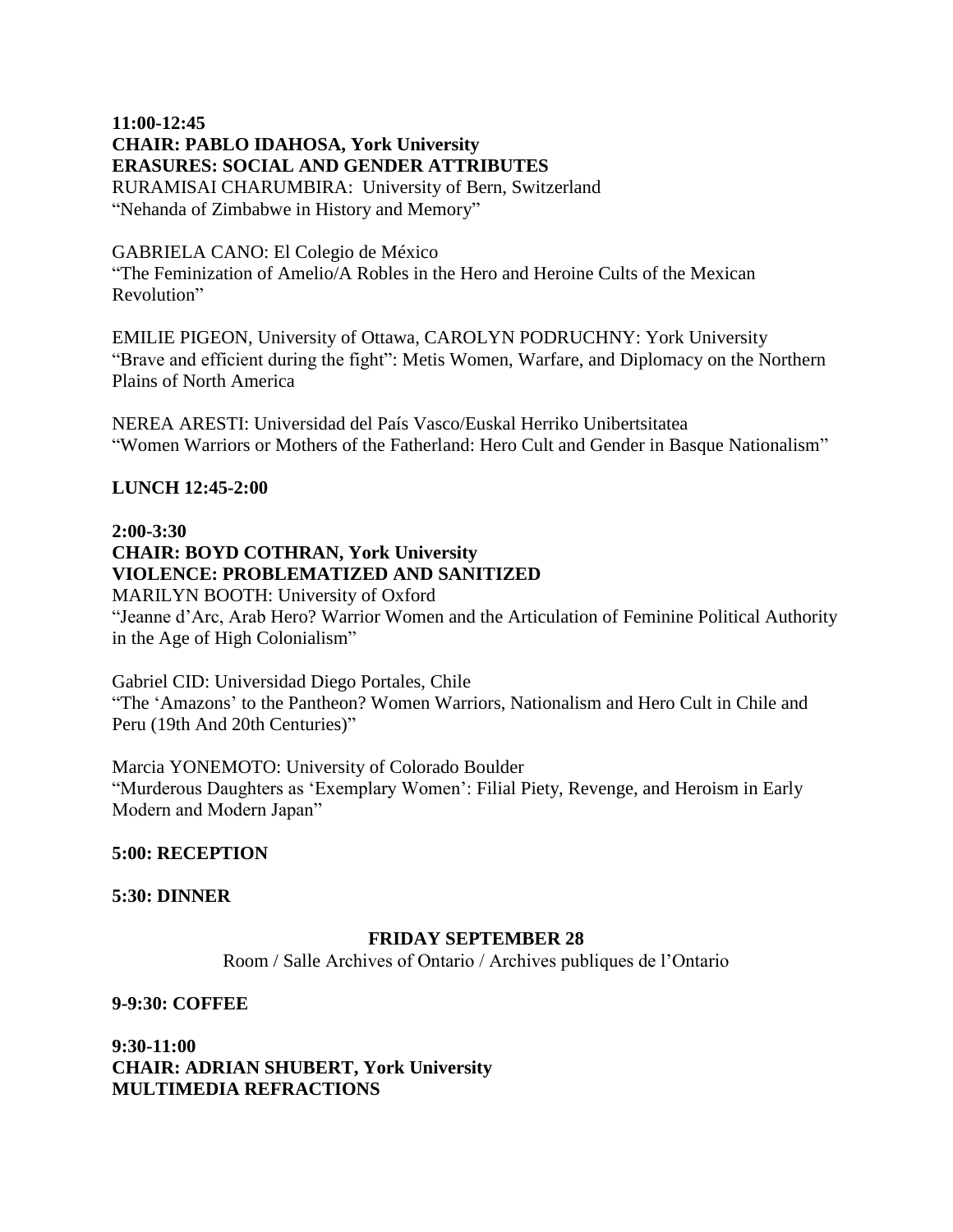### **11:00-12:45 CHAIR: PABLO IDAHOSA, York University ERASURES: SOCIAL AND GENDER ATTRIBUTES** RURAMISAI CHARUMBIRA: University of Bern, Switzerland "Nehanda of Zimbabwe in History and Memory"

#### GABRIELA CANO: El Colegio de México

"The Feminization of Amelio/A Robles in the Hero and Heroine Cults of the Mexican Revolution"

EMILIE PIGEON, University of Ottawa, CAROLYN PODRUCHNY: York University "Brave and efficient during the fight": Metis Women, Warfare, and Diplomacy on the Northern Plains of North America

NEREA ARESTI: Universidad del País Vasco/Euskal Herriko Unibertsitatea "Women Warriors or Mothers of the Fatherland: Hero Cult and Gender in Basque Nationalism"

### **LUNCH 12:45-2:00**

## **2:00-3:30**

## **CHAIR: BOYD COTHRAN, York University VIOLENCE: PROBLEMATIZED AND SANITIZED**

MARILYN BOOTH: University of Oxford "Jeanne d'Arc, Arab Hero? Warrior Women and the Articulation of Feminine Political Authority in the Age of High Colonialism"

Gabriel CID: Universidad Diego Portales, Chile "The 'Amazons' to the Pantheon? Women Warriors, Nationalism and Hero Cult in Chile and Peru (19th And 20th Centuries)"

Marcia YONEMOTO: University of Colorado Boulder "Murderous Daughters as 'Exemplary Women': Filial Piety, Revenge, and Heroism in Early Modern and Modern Japan"

### **5:00: RECEPTION**

### **5:30: DINNER**

### **FRIDAY SEPTEMBER 28**

Room / Salle Archives of Ontario / Archives publiques de l'Ontario

### **9-9:30: COFFEE**

**9:30-11:00 CHAIR: ADRIAN SHUBERT, York University MULTIMEDIA REFRACTIONS**